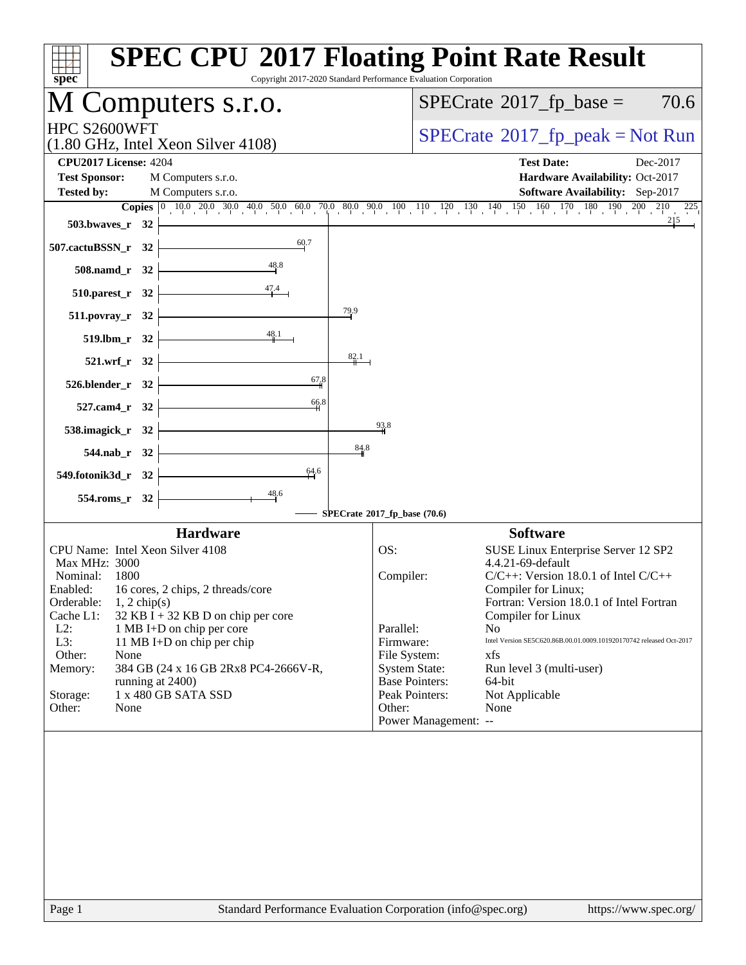| spec <sup>®</sup>                                                                        | <b>SPEC CPU®2017 Floating Point Rate Result</b><br>Copyright 2017-2020 Standard Performance Evaluation Corporation                                                                    |
|------------------------------------------------------------------------------------------|---------------------------------------------------------------------------------------------------------------------------------------------------------------------------------------|
| M Computers s.r.o.                                                                       | $SPECrate^{\circledast}2017$ _fp_base =<br>70.6                                                                                                                                       |
| HPC S2600WFT<br>$(1.80 \text{ GHz}, \text{Intel Xeon Silver } 4108)$                     | $SPECrate^{\circ}2017$ _fp_peak = Not Run                                                                                                                                             |
| <b>CPU2017 License: 4204</b>                                                             | <b>Test Date:</b><br>Dec-2017                                                                                                                                                         |
| <b>Test Sponsor:</b><br>M Computers s.r.o.<br><b>Tested by:</b><br>M Computers s.r.o.    | Hardware Availability: Oct-2017<br>Software Availability: Sep-2017                                                                                                                    |
|                                                                                          | <b>Copies</b> $\begin{bmatrix} 0 & 10 & 0 & 20 & 0 & 30 & 40 & 50 & 60 & 0 & 70 & 80 & 90 & 10 & 110 & 120 & 130 & 140 & 150 & 160 & 170 & 180 & 190 & 200 & 210 & 225 \end{bmatrix}$ |
| 503.bwaves_r $32$                                                                        |                                                                                                                                                                                       |
| 507.cactuBSSN_r 32                                                                       |                                                                                                                                                                                       |
| $508$ .namd_r 32 $\vert$                                                                 |                                                                                                                                                                                       |
| $510.parest_r 32$                                                                        |                                                                                                                                                                                       |
| 79.9<br>$511. povray_r 32$                                                               |                                                                                                                                                                                       |
| 519.lbm_r 32                                                                             |                                                                                                                                                                                       |
| 82.1<br>$521.wrf_r 32$                                                                   |                                                                                                                                                                                       |
| 67,8<br>526.blender_r 32                                                                 |                                                                                                                                                                                       |
| 66.8<br>$527$ .cam4_r 32                                                                 | 93.8                                                                                                                                                                                  |
| 538.imagick_r $32$<br>84.8                                                               |                                                                                                                                                                                       |
| $544$ .nab_r $32 \n\cdot$<br>64.6                                                        |                                                                                                                                                                                       |
| 549.fotonik3d_r 32 $\vert$                                                               |                                                                                                                                                                                       |
| $\frac{48.6}{ }$<br>554.roms_r 32                                                        | SPECrate®2017_fp_base (70.6)                                                                                                                                                          |
| <b>Hardware</b>                                                                          | <b>Software</b>                                                                                                                                                                       |
| CPU Name: Intel Xeon Silver 4108<br>Max MHz: 3000                                        | SUSE Linux Enterprise Server 12 SP2<br>OS:<br>4.4.21-69-default                                                                                                                       |
| Nominal: 1800                                                                            | $C/C++$ : Version 18.0.1 of Intel $C/C++$<br>Compiler:                                                                                                                                |
| Enabled: 16 cores, 2 chips, 2 threads/core<br>Orderable:<br>$1, 2$ chip(s)               | Compiler for Linux;<br>Fortran: Version 18.0.1 of Intel Fortran                                                                                                                       |
| $32$ KB I + 32 KB D on chip per core<br>Cache L1:<br>$L2$ :<br>1 MB I+D on chip per core | Compiler for Linux<br>Parallel:<br>N <sub>0</sub>                                                                                                                                     |
| L3:<br>11 MB I+D on chip per chip                                                        | Firmware:<br>Intel Version SE5C620.86B.00.01.0009.101920170742 released Oct-2017                                                                                                      |
| Other:<br>None<br>384 GB (24 x 16 GB 2Rx8 PC4-2666V-R,<br>Memory:                        | File System:<br>xfs<br><b>System State:</b><br>Run level 3 (multi-user)                                                                                                               |
| running at 2400)                                                                         | <b>Base Pointers:</b><br>64-bit                                                                                                                                                       |
| 1 x 480 GB SATA SSD<br>Storage:<br>Other:<br>None                                        | Peak Pointers:<br>Not Applicable<br>Other:<br>None                                                                                                                                    |
|                                                                                          | Power Management: --                                                                                                                                                                  |
|                                                                                          |                                                                                                                                                                                       |
|                                                                                          |                                                                                                                                                                                       |
|                                                                                          |                                                                                                                                                                                       |
|                                                                                          |                                                                                                                                                                                       |
|                                                                                          |                                                                                                                                                                                       |
|                                                                                          |                                                                                                                                                                                       |
| Page 1                                                                                   | Standard Performance Evaluation Corporation (info@spec.org)<br>https://www.spec.org/                                                                                                  |
|                                                                                          |                                                                                                                                                                                       |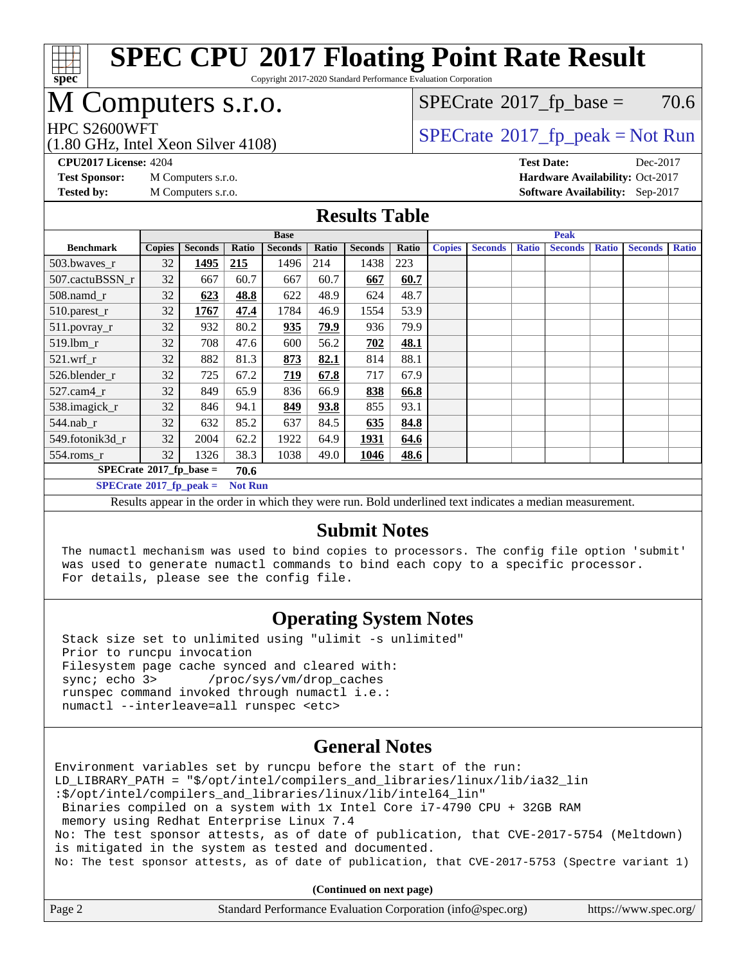

Copyright 2017-2020 Standard Performance Evaluation Corporation

## M Computers s.r.o.

 $SPECTate$ <sup>®</sup>[2017\\_fp\\_base =](http://www.spec.org/auto/cpu2017/Docs/result-fields.html#SPECrate2017fpbase) 70.6

(1.80 GHz, Intel Xeon Silver 4108)

 $HPC S2600WFT$ <br>(1.80 GHz, Intel Year Silver 4108) [SPECrate](http://www.spec.org/auto/cpu2017/Docs/result-fields.html#SPECrate2017fppeak)®[2017\\_fp\\_peak = N](http://www.spec.org/auto/cpu2017/Docs/result-fields.html#SPECrate2017fppeak)ot Run

**[Tested by:](http://www.spec.org/auto/cpu2017/Docs/result-fields.html#Testedby)** M Computers s.r.o. **[Software Availability:](http://www.spec.org/auto/cpu2017/Docs/result-fields.html#SoftwareAvailability)** Sep-2017

**[CPU2017 License:](http://www.spec.org/auto/cpu2017/Docs/result-fields.html#CPU2017License)** 4204 **[Test Date:](http://www.spec.org/auto/cpu2017/Docs/result-fields.html#TestDate)** Dec-2017 **[Test Sponsor:](http://www.spec.org/auto/cpu2017/Docs/result-fields.html#TestSponsor)** M Computers s.r.o. **[Hardware Availability:](http://www.spec.org/auto/cpu2017/Docs/result-fields.html#HardwareAvailability)** Oct-2017

#### **[Results Table](http://www.spec.org/auto/cpu2017/Docs/result-fields.html#ResultsTable)**

|                                                     | <b>Base</b>   |                |       |                |             |                |       | <b>Peak</b>   |                |              |                |              |                |              |
|-----------------------------------------------------|---------------|----------------|-------|----------------|-------------|----------------|-------|---------------|----------------|--------------|----------------|--------------|----------------|--------------|
| <b>Benchmark</b>                                    | <b>Copies</b> | <b>Seconds</b> | Ratio | <b>Seconds</b> | Ratio       | <b>Seconds</b> | Ratio | <b>Copies</b> | <b>Seconds</b> | <b>Ratio</b> | <b>Seconds</b> | <b>Ratio</b> | <b>Seconds</b> | <b>Ratio</b> |
| 503.bwayes_r                                        | 32            | 1495           | 215   | 1496           | 214         | 1438           | 223   |               |                |              |                |              |                |              |
| 507.cactuBSSN r                                     | 32            | 667            | 60.7  | 667            | 60.7        | 667            | 60.7  |               |                |              |                |              |                |              |
| $508$ .namd $r$                                     | 32            | 623            | 48.8  | 622            | 48.9        | 624            | 48.7  |               |                |              |                |              |                |              |
| 510.parest_r                                        | 32            | 1767           | 47.4  | 1784           | 46.9        | 1554           | 53.9  |               |                |              |                |              |                |              |
| 511.povray_r                                        | 32            | 932            | 80.2  | 935            | <u>79.9</u> | 936            | 79.9  |               |                |              |                |              |                |              |
| 519.lbm r                                           | 32            | 708            | 47.6  | 600            | 56.2        | 702            | 48.1  |               |                |              |                |              |                |              |
| $521$ .wrf r                                        | 32            | 882            | 81.3  | 873            | 82.1        | 814            | 88.1  |               |                |              |                |              |                |              |
| 526.blender_r                                       | 32            | 725            | 67.2  | 719            | 67.8        | 717            | 67.9  |               |                |              |                |              |                |              |
| 527.cam4 r                                          | 32            | 849            | 65.9  | 836            | 66.9        | 838            | 66.8  |               |                |              |                |              |                |              |
| 538.imagick_r                                       | 32            | 846            | 94.1  | 849            | 93.8        | 855            | 93.1  |               |                |              |                |              |                |              |
| $544$ .nab r                                        | 32            | 632            | 85.2  | 637            | 84.5        | 635            | 84.8  |               |                |              |                |              |                |              |
| 549.fotonik3d r                                     | 32            | 2004           | 62.2  | 1922           | 64.9        | 1931           | 64.6  |               |                |              |                |              |                |              |
| $554$ .roms_r                                       | 32            | 1326           | 38.3  | 1038           | 49.0        | 1046           | 48.6  |               |                |              |                |              |                |              |
| $SPECrate$ <sup>®</sup> 2017_fp_base =<br>70.6      |               |                |       |                |             |                |       |               |                |              |                |              |                |              |
| $SPECrate^{\circ}2017$ _fp_peak =<br><b>Not Run</b> |               |                |       |                |             |                |       |               |                |              |                |              |                |              |

Results appear in the [order in which they were run.](http://www.spec.org/auto/cpu2017/Docs/result-fields.html#RunOrder) Bold underlined text [indicates a median measurement.](http://www.spec.org/auto/cpu2017/Docs/result-fields.html#Median)

#### **[Submit Notes](http://www.spec.org/auto/cpu2017/Docs/result-fields.html#SubmitNotes)**

 The numactl mechanism was used to bind copies to processors. The config file option 'submit' was used to generate numactl commands to bind each copy to a specific processor. For details, please see the config file.

### **[Operating System Notes](http://www.spec.org/auto/cpu2017/Docs/result-fields.html#OperatingSystemNotes)**

 Stack size set to unlimited using "ulimit -s unlimited" Prior to runcpu invocation Filesystem page cache synced and cleared with: sync; echo 3> /proc/sys/vm/drop\_caches runspec command invoked through numactl i.e.: numactl --interleave=all runspec <etc>

### **[General Notes](http://www.spec.org/auto/cpu2017/Docs/result-fields.html#GeneralNotes)**

Environment variables set by runcpu before the start of the run: LD LIBRARY PATH = "\$/opt/intel/compilers and libraries/linux/lib/ia32 lin :\$/opt/intel/compilers\_and\_libraries/linux/lib/intel64\_lin" Binaries compiled on a system with 1x Intel Core i7-4790 CPU + 32GB RAM memory using Redhat Enterprise Linux 7.4 No: The test sponsor attests, as of date of publication, that CVE-2017-5754 (Meltdown) is mitigated in the system as tested and documented. No: The test sponsor attests, as of date of publication, that CVE-2017-5753 (Spectre variant 1)

**(Continued on next page)**

|  | Page 2 | Standard Performance Evaluation Corporation (info@spec.org) | https://www.spec.org/ |
|--|--------|-------------------------------------------------------------|-----------------------|
|--|--------|-------------------------------------------------------------|-----------------------|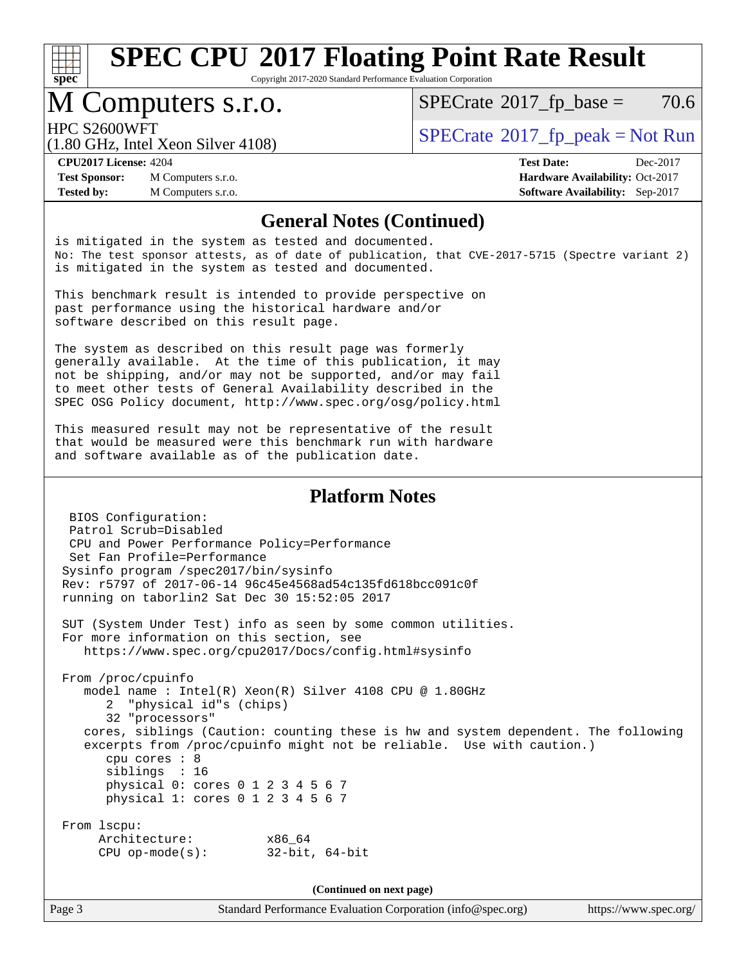

Copyright 2017-2020 Standard Performance Evaluation Corporation

### M Computers s.r.o.

 $SPECTate$ <sup>®</sup>[2017\\_fp\\_base =](http://www.spec.org/auto/cpu2017/Docs/result-fields.html#SPECrate2017fpbase) 70.6

(1.80 GHz, Intel Xeon Silver 4108)

HPC S2600WFT<br>(1.80 CHz, Intel Year Silver 4108) [SPECrate](http://www.spec.org/auto/cpu2017/Docs/result-fields.html#SPECrate2017fppeak)®[2017\\_fp\\_peak = N](http://www.spec.org/auto/cpu2017/Docs/result-fields.html#SPECrate2017fppeak)ot Run

**[Test Sponsor:](http://www.spec.org/auto/cpu2017/Docs/result-fields.html#TestSponsor)** M Computers s.r.o. **[Hardware Availability:](http://www.spec.org/auto/cpu2017/Docs/result-fields.html#HardwareAvailability)** Oct-2017 **[Tested by:](http://www.spec.org/auto/cpu2017/Docs/result-fields.html#Testedby)** M Computers s.r.o. **[Software Availability:](http://www.spec.org/auto/cpu2017/Docs/result-fields.html#SoftwareAvailability)** Sep-2017

**[CPU2017 License:](http://www.spec.org/auto/cpu2017/Docs/result-fields.html#CPU2017License)** 4204 **[Test Date:](http://www.spec.org/auto/cpu2017/Docs/result-fields.html#TestDate)** Dec-2017

#### **[General Notes \(Continued\)](http://www.spec.org/auto/cpu2017/Docs/result-fields.html#GeneralNotes)**

is mitigated in the system as tested and documented. No: The test sponsor attests, as of date of publication, that CVE-2017-5715 (Spectre variant 2) is mitigated in the system as tested and documented.

This benchmark result is intended to provide perspective on past performance using the historical hardware and/or software described on this result page.

The system as described on this result page was formerly generally available. At the time of this publication, it may not be shipping, and/or may not be supported, and/or may fail to meet other tests of General Availability described in the SPEC OSG Policy document, <http://www.spec.org/osg/policy.html>

This measured result may not be representative of the result that would be measured were this benchmark run with hardware and software available as of the publication date.

#### **[Platform Notes](http://www.spec.org/auto/cpu2017/Docs/result-fields.html#PlatformNotes)**

 BIOS Configuration: Patrol Scrub=Disabled CPU and Power Performance Policy=Performance Set Fan Profile=Performance Sysinfo program /spec2017/bin/sysinfo Rev: r5797 of 2017-06-14 96c45e4568ad54c135fd618bcc091c0f running on taborlin2 Sat Dec 30 15:52:05 2017 SUT (System Under Test) info as seen by some common utilities. For more information on this section, see <https://www.spec.org/cpu2017/Docs/config.html#sysinfo> From /proc/cpuinfo model name : Intel(R) Xeon(R) Silver 4108 CPU @ 1.80GHz 2 "physical id"s (chips) 32 "processors" cores, siblings (Caution: counting these is hw and system dependent. The following excerpts from /proc/cpuinfo might not be reliable. Use with caution.) cpu cores : 8 siblings : 16 physical 0: cores 0 1 2 3 4 5 6 7 physical 1: cores 0 1 2 3 4 5 6 7 From lscpu: Architecture: x86\_64 CPU op-mode(s): 32-bit, 64-bit

**(Continued on next page)**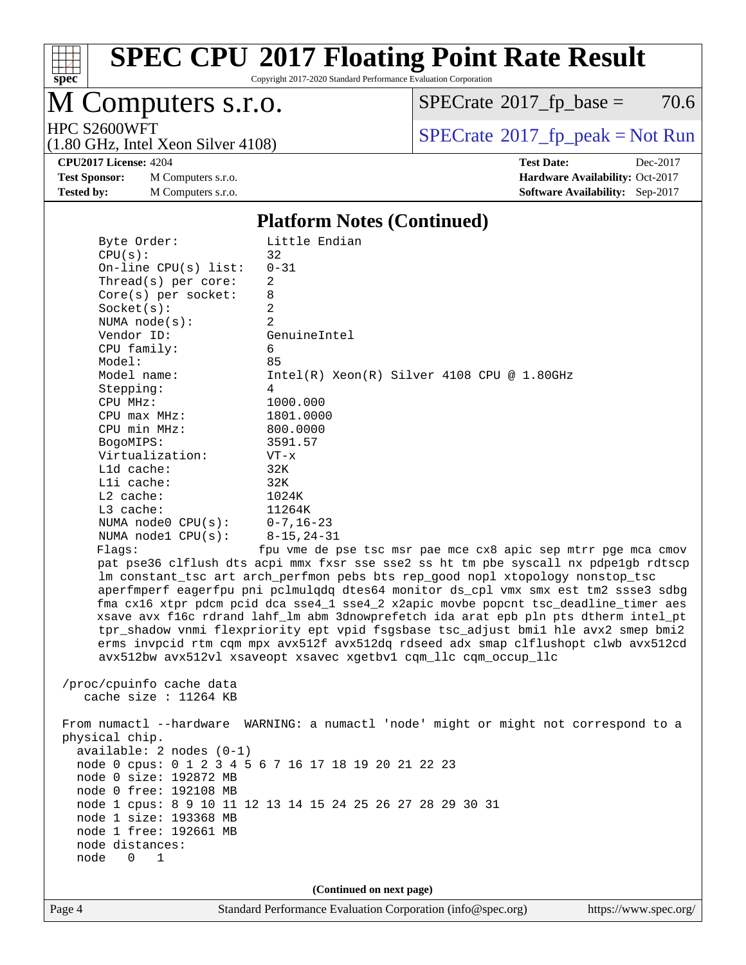

Copyright 2017-2020 Standard Performance Evaluation Corporation

# M Computers s.r.o.

 $SPECrate$ <sup>®</sup>[2017\\_fp\\_base =](http://www.spec.org/auto/cpu2017/Docs/result-fields.html#SPECrate2017fpbase) 70.6

(1.80 GHz, Intel Xeon Silver 4108)

HPC S2600WFT<br>(1.80 GHz, Intel Yeon Silver 4108) [SPECrate](http://www.spec.org/auto/cpu2017/Docs/result-fields.html#SPECrate2017fppeak)®[2017\\_fp\\_peak = N](http://www.spec.org/auto/cpu2017/Docs/result-fields.html#SPECrate2017fppeak)ot Run

**[Test Sponsor:](http://www.spec.org/auto/cpu2017/Docs/result-fields.html#TestSponsor)** M Computers s.r.o. **[Hardware Availability:](http://www.spec.org/auto/cpu2017/Docs/result-fields.html#HardwareAvailability)** Oct-2017 **[Tested by:](http://www.spec.org/auto/cpu2017/Docs/result-fields.html#Testedby)** M Computers s.r.o. **[Software Availability:](http://www.spec.org/auto/cpu2017/Docs/result-fields.html#SoftwareAvailability)** Sep-2017

**[CPU2017 License:](http://www.spec.org/auto/cpu2017/Docs/result-fields.html#CPU2017License)** 4204 **[Test Date:](http://www.spec.org/auto/cpu2017/Docs/result-fields.html#TestDate)** Dec-2017

#### **[Platform Notes \(Continued\)](http://www.spec.org/auto/cpu2017/Docs/result-fields.html#PlatformNotes)**

| Byte Order:                | Little Endian                                                                        |
|----------------------------|--------------------------------------------------------------------------------------|
| CPU(s):                    | 32                                                                                   |
| On-line CPU $(s)$ list:    | $0 - 31$                                                                             |
| Thread(s) per core:        | 2                                                                                    |
| Core(s) per socket:        | 8                                                                                    |
| Socket(s):                 | $\overline{a}$                                                                       |
| NUMA $node(s)$ :           | 2                                                                                    |
| Vendor ID:                 | GenuineIntel                                                                         |
| CPU family:                | 6                                                                                    |
| Model:                     | 85                                                                                   |
| Model name:                | $Intel(R)$ Xeon $(R)$ Silver 4108 CPU @ 1.80GHz                                      |
| Stepping:                  | $\overline{4}$                                                                       |
| CPU MHz:                   | 1000.000                                                                             |
| $CPU$ max $MHz$ :          | 1801.0000                                                                            |
| CPU min MHz:               | 800.0000                                                                             |
| BogoMIPS:                  | 3591.57                                                                              |
| Virtualization:            | $VT - x$                                                                             |
| L1d cache:                 | 32K                                                                                  |
| Lli cache:                 | 32K                                                                                  |
| L2 cache:                  | 1024K                                                                                |
| L3 cache:                  | 11264K                                                                               |
| NUMA node0 CPU(s):         | $0 - 7$ , 16-23                                                                      |
| NUMA $node1$ $CPU(s)$ :    | $8 - 15, 24 - 31$                                                                    |
| Flagg:                     | fpu vme de pse tsc msr pae mce cx8 apic sep mtrr pge mca cmov                        |
|                            | pat pse36 clflush dts acpi mmx fxsr sse sse2 ss ht tm pbe syscall nx pdpe1gb rdtscp  |
|                            | lm constant_tsc art arch_perfmon pebs bts rep_good nopl xtopology nonstop_tsc        |
|                            | aperfmperf eagerfpu pni pclmulqdq dtes64 monitor ds_cpl vmx smx est tm2 ssse3 sdbg   |
|                            | fma cx16 xtpr pdcm pcid dca sse4_1 sse4_2 x2apic movbe popcnt tsc_deadline_timer aes |
|                            | xsave avx f16c rdrand lahf_lm abm 3dnowprefetch ida arat epb pln pts dtherm intel_pt |
|                            | tpr_shadow vnmi flexpriority ept vpid fsgsbase tsc_adjust bmil hle avx2 smep bmi2    |
|                            | erms invpcid rtm cqm mpx avx512f avx512dq rdseed adx smap clflushopt clwb avx512cd   |
|                            | avx512bw avx512vl xsaveopt xsavec xgetbvl cqm_llc cqm_occup_llc                      |
|                            |                                                                                      |
| /proc/cpuinfo cache data   |                                                                                      |
| cache size : $11264$ KB    |                                                                                      |
|                            |                                                                                      |
|                            | From numactl --hardware WARNING: a numactl 'node' might or might not correspond to a |
| physical chip.             |                                                                                      |
| $available: 2 nodes (0-1)$ |                                                                                      |
|                            | node 0 cpus: 0 1 2 3 4 5 6 7 16 17 18 19 20 21 22 23                                 |
| node 0 size: 192872 MB     |                                                                                      |
| node 0 free: 192108 MB     |                                                                                      |
|                            | node 1 cpus: 8 9 10 11 12 13 14 15 24 25 26 27 28 29 30 31                           |
| node 1 size: 193368 MB     |                                                                                      |
| node 1 free: 192661 MB     |                                                                                      |
| node distances:            |                                                                                      |
| node<br>0<br>1             |                                                                                      |
|                            |                                                                                      |
|                            | (Continued on next page)                                                             |
|                            |                                                                                      |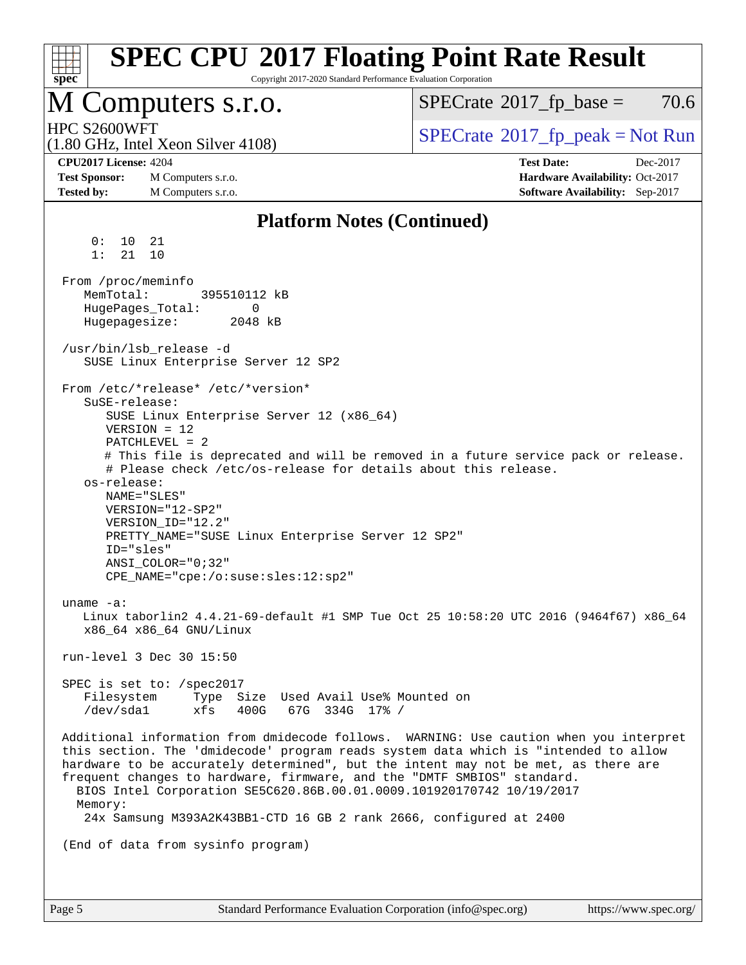| <b>SPEC CPU®2017 Floating Point Rate Result</b><br>Copyright 2017-2020 Standard Performance Evaluation Corporation                                                                                                                                                                                                                                                                                                                                                                                                                                                                                                                        |                                                                  |
|-------------------------------------------------------------------------------------------------------------------------------------------------------------------------------------------------------------------------------------------------------------------------------------------------------------------------------------------------------------------------------------------------------------------------------------------------------------------------------------------------------------------------------------------------------------------------------------------------------------------------------------------|------------------------------------------------------------------|
| spec<br>M Computers s.r.o.                                                                                                                                                                                                                                                                                                                                                                                                                                                                                                                                                                                                                | 70.6<br>$SPECTate$ <sup>®</sup> 2017_fp_base =                   |
| HPC S2600WFT                                                                                                                                                                                                                                                                                                                                                                                                                                                                                                                                                                                                                              |                                                                  |
| $(1.80 \text{ GHz}, \text{Intel Xeon Silver } 4108)$                                                                                                                                                                                                                                                                                                                                                                                                                                                                                                                                                                                      | $SPECrate^{\circledast}2017rfp peak = Not Run$                   |
| <b>CPU2017 License: 4204</b><br><b>Test Sponsor:</b><br>M Computers s.r.o.                                                                                                                                                                                                                                                                                                                                                                                                                                                                                                                                                                | <b>Test Date:</b><br>Dec-2017<br>Hardware Availability: Oct-2017 |
| <b>Tested by:</b><br>M Computers s.r.o.                                                                                                                                                                                                                                                                                                                                                                                                                                                                                                                                                                                                   | Software Availability: Sep-2017                                  |
| <b>Platform Notes (Continued)</b>                                                                                                                                                                                                                                                                                                                                                                                                                                                                                                                                                                                                         |                                                                  |
| 0 :<br>10<br>21<br>1:<br>21<br>10                                                                                                                                                                                                                                                                                                                                                                                                                                                                                                                                                                                                         |                                                                  |
| From /proc/meminfo<br>MemTotal:<br>395510112 kB<br>HugePages_Total:<br>0<br>Hugepagesize:<br>2048 kB                                                                                                                                                                                                                                                                                                                                                                                                                                                                                                                                      |                                                                  |
| /usr/bin/lsb_release -d<br>SUSE Linux Enterprise Server 12 SP2                                                                                                                                                                                                                                                                                                                                                                                                                                                                                                                                                                            |                                                                  |
| From /etc/*release* /etc/*version*<br>SuSE-release:<br>SUSE Linux Enterprise Server 12 (x86_64)<br>$VERSION = 12$<br>$PATCHLEVEL = 2$<br># This file is deprecated and will be removed in a future service pack or release.<br># Please check /etc/os-release for details about this release.<br>os-release:<br>NAME="SLES"<br>VERSION="12-SP2"<br>VERSION_ID="12.2"<br>PRETTY_NAME="SUSE Linux Enterprise Server 12 SP2"<br>ID="sles"<br>$ANSI$ _COLOR="0;32"<br>CPE_NAME="cpe:/o:suse:sles:12:sp2"<br>uname $-a$ :<br>Linux taborlin2 4.4.21-69-default #1 SMP Tue Oct 25 10:58:20 UTC 2016 (9464f67) x86_64<br>x86_64 x86_64 GNU/Linux |                                                                  |
| run-level 3 Dec 30 15:50                                                                                                                                                                                                                                                                                                                                                                                                                                                                                                                                                                                                                  |                                                                  |
| SPEC is set to: /spec2017<br>Filesystem<br>Type Size Used Avail Use% Mounted on<br>/dev/sda1<br>xfs<br>400G<br>67G 334G 17% /                                                                                                                                                                                                                                                                                                                                                                                                                                                                                                             |                                                                  |
| Additional information from dmidecode follows. WARNING: Use caution when you interpret<br>this section. The 'dmidecode' program reads system data which is "intended to allow<br>hardware to be accurately determined", but the intent may not be met, as there are<br>frequent changes to hardware, firmware, and the "DMTF SMBIOS" standard.<br>BIOS Intel Corporation SE5C620.86B.00.01.0009.101920170742 10/19/2017<br>Memory:                                                                                                                                                                                                        |                                                                  |
| 24x Samsung M393A2K43BB1-CTD 16 GB 2 rank 2666, configured at 2400                                                                                                                                                                                                                                                                                                                                                                                                                                                                                                                                                                        |                                                                  |
| (End of data from sysinfo program)                                                                                                                                                                                                                                                                                                                                                                                                                                                                                                                                                                                                        |                                                                  |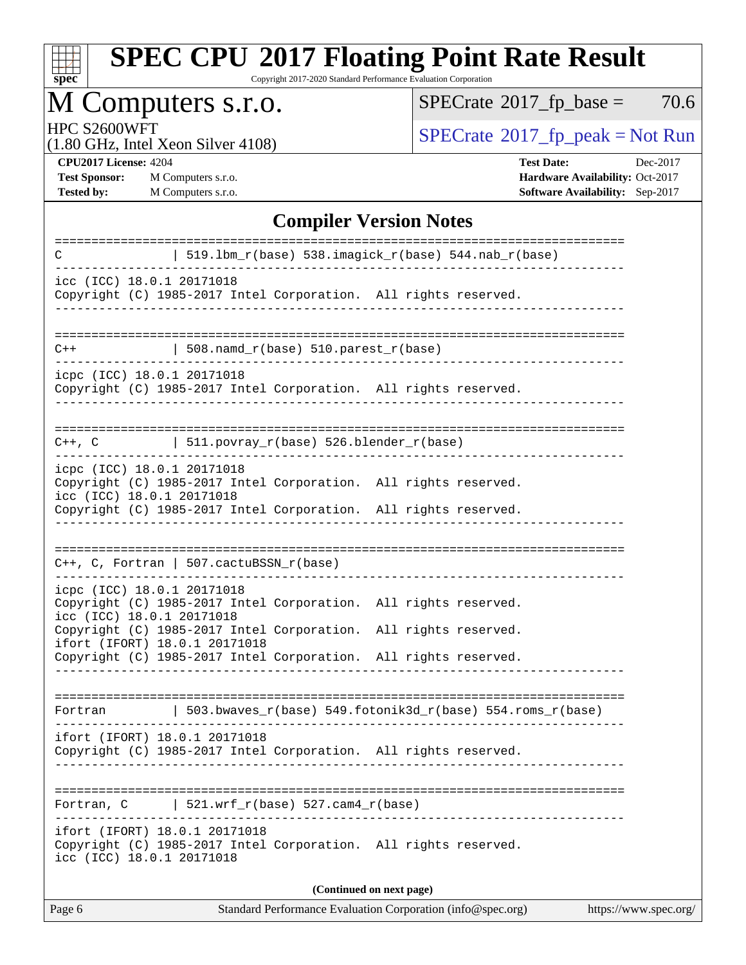| S)<br>оe<br>L. |  |  |  |  |  |  |
|----------------|--|--|--|--|--|--|

Copyright 2017-2020 Standard Performance Evaluation Corporation

# M Computers s.r.o.

 $SPECTate$ <sup>®</sup>[2017\\_fp\\_base =](http://www.spec.org/auto/cpu2017/Docs/result-fields.html#SPECrate2017fpbase) 70.6

(1.80 GHz, Intel Xeon Silver 4108)

HPC S2600WFT<br>(1.80 GHz, Intel Yeon Silver 4108) [SPECrate](http://www.spec.org/auto/cpu2017/Docs/result-fields.html#SPECrate2017fppeak)®[2017\\_fp\\_peak = N](http://www.spec.org/auto/cpu2017/Docs/result-fields.html#SPECrate2017fppeak)ot Run

**[Test Sponsor:](http://www.spec.org/auto/cpu2017/Docs/result-fields.html#TestSponsor)** M Computers s.r.o. **[Hardware Availability:](http://www.spec.org/auto/cpu2017/Docs/result-fields.html#HardwareAvailability)** Oct-2017 **[Tested by:](http://www.spec.org/auto/cpu2017/Docs/result-fields.html#Testedby)** M Computers s.r.o. **[Software Availability:](http://www.spec.org/auto/cpu2017/Docs/result-fields.html#SoftwareAvailability)** Sep-2017

**[CPU2017 License:](http://www.spec.org/auto/cpu2017/Docs/result-fields.html#CPU2017License)** 4204 **[Test Date:](http://www.spec.org/auto/cpu2017/Docs/result-fields.html#TestDate)** Dec-2017

#### **[Compiler Version Notes](http://www.spec.org/auto/cpu2017/Docs/result-fields.html#CompilerVersionNotes)**

| C                                                          | $519.1bm_r(base) 538.inagick_r(base) 544.nab_r(base)$                                                                              |                                                             |                       |
|------------------------------------------------------------|------------------------------------------------------------------------------------------------------------------------------------|-------------------------------------------------------------|-----------------------|
| icc (ICC) 18.0.1 20171018                                  | Copyright (C) 1985-2017 Intel Corporation. All rights reserved.                                                                    |                                                             |                       |
| $C++$                                                      | $508.namd_r(base) 510.parest_r(base)$                                                                                              |                                                             |                       |
| icpc (ICC) 18.0.1 20171018                                 | Copyright (C) 1985-2017 Intel Corporation. All rights reserved.                                                                    |                                                             |                       |
|                                                            | $C++$ , C $\qquad \qquad$ 511.povray_r(base) 526.blender_r(base)                                                                   |                                                             |                       |
| icpc (ICC) 18.0.1 20171018<br>icc (ICC) 18.0.1 20171018    | Copyright (C) 1985-2017 Intel Corporation. All rights reserved.                                                                    |                                                             |                       |
|                                                            | Copyright (C) 1985-2017 Intel Corporation. All rights reserved.                                                                    |                                                             |                       |
|                                                            | $C_{++}$ , C, Fortran   507.cactuBSSN_r(base)                                                                                      |                                                             |                       |
| icpc (ICC) 18.0.1 20171018<br>icc (ICC) 18.0.1 20171018    | Copyright (C) 1985-2017 Intel Corporation. All rights reserved.                                                                    |                                                             |                       |
| ifort (IFORT) 18.0.1 20171018                              | Copyright (C) 1985-2017 Intel Corporation. All rights reserved.<br>Copyright (C) 1985-2017 Intel Corporation. All rights reserved. |                                                             |                       |
|                                                            |                                                                                                                                    |                                                             |                       |
| Fortran                                                    |                                                                                                                                    | 503.bwaves_r(base) 549.fotonik3d_r(base) 554.roms_r(base)   |                       |
| ifort (IFORT) 18.0.1 20171018                              | Copyright (C) 1985-2017 Intel Corporation. All rights reserved.                                                                    |                                                             |                       |
| Fortran, C                                                 | $521.wrf_r(base) 527.cam4_r(base)$                                                                                                 |                                                             |                       |
| ifort (IFORT) 18.0.1 20171018<br>icc (ICC) 18.0.1 20171018 | Copyright (C) 1985-2017 Intel Corporation. All rights reserved.                                                                    |                                                             |                       |
|                                                            |                                                                                                                                    | (Continued on next page)                                    |                       |
| Page 6                                                     |                                                                                                                                    | Standard Performance Evaluation Corporation (info@spec.org) | https://www.spec.org/ |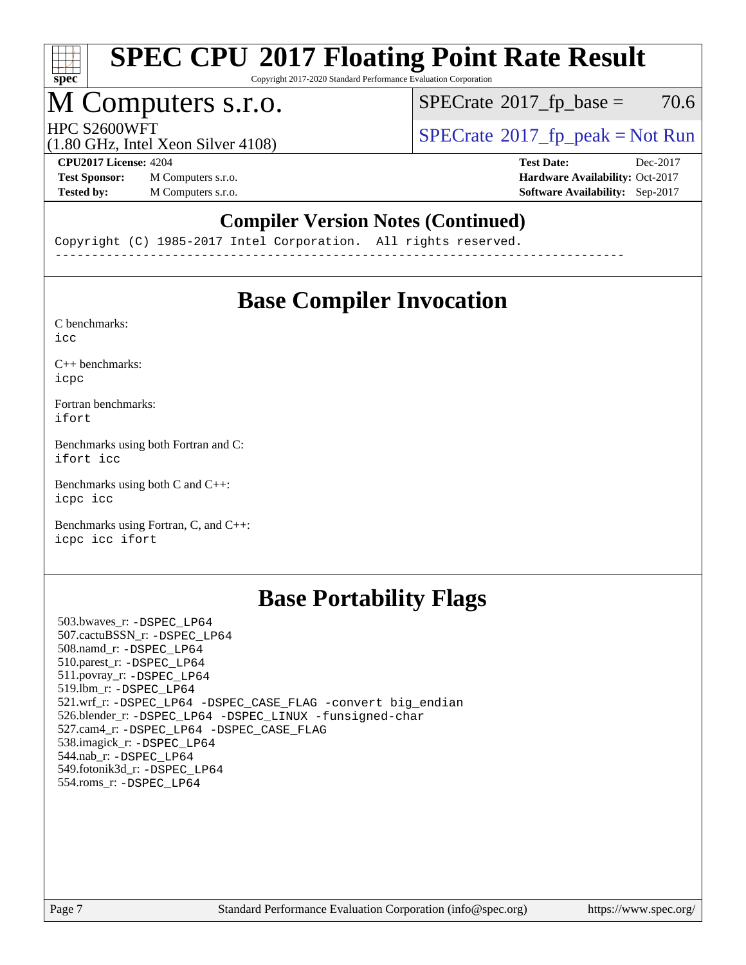

Copyright 2017-2020 Standard Performance Evaluation Corporation

### M Computers s.r.o.

 $SPECTate$ <sup>®</sup>[2017\\_fp\\_base =](http://www.spec.org/auto/cpu2017/Docs/result-fields.html#SPECrate2017fpbase) 70.6

 $HPC S2600WFT$ <br>(1.80 GHz, Intel Year Silver 4108) [SPECrate](http://www.spec.org/auto/cpu2017/Docs/result-fields.html#SPECrate2017fppeak)®[2017\\_fp\\_peak = N](http://www.spec.org/auto/cpu2017/Docs/result-fields.html#SPECrate2017fppeak)ot Run

(1.80 GHz, Intel Xeon Silver 4108)

**[Test Sponsor:](http://www.spec.org/auto/cpu2017/Docs/result-fields.html#TestSponsor)** M Computers s.r.o. **[Hardware Availability:](http://www.spec.org/auto/cpu2017/Docs/result-fields.html#HardwareAvailability)** Oct-2017 **[Tested by:](http://www.spec.org/auto/cpu2017/Docs/result-fields.html#Testedby)** M Computers s.r.o. **[Software Availability:](http://www.spec.org/auto/cpu2017/Docs/result-fields.html#SoftwareAvailability)** Sep-2017

**[CPU2017 License:](http://www.spec.org/auto/cpu2017/Docs/result-fields.html#CPU2017License)** 4204 **[Test Date:](http://www.spec.org/auto/cpu2017/Docs/result-fields.html#TestDate)** Dec-2017

### **[Compiler Version Notes \(Continued\)](http://www.spec.org/auto/cpu2017/Docs/result-fields.html#CompilerVersionNotes)**

Copyright (C) 1985-2017 Intel Corporation. All rights reserved. ------------------------------------------------------------------------------

## **[Base Compiler Invocation](http://www.spec.org/auto/cpu2017/Docs/result-fields.html#BaseCompilerInvocation)**

[C benchmarks](http://www.spec.org/auto/cpu2017/Docs/result-fields.html#Cbenchmarks): [icc](http://www.spec.org/cpu2017/results/res2018q1/cpu2017-20171231-02421.flags.html#user_CCbase_intel_icc_18.0_66fc1ee009f7361af1fbd72ca7dcefbb700085f36577c54f309893dd4ec40d12360134090235512931783d35fd58c0460139e722d5067c5574d8eaf2b3e37e92)

[C++ benchmarks:](http://www.spec.org/auto/cpu2017/Docs/result-fields.html#CXXbenchmarks) [icpc](http://www.spec.org/cpu2017/results/res2018q1/cpu2017-20171231-02421.flags.html#user_CXXbase_intel_icpc_18.0_c510b6838c7f56d33e37e94d029a35b4a7bccf4766a728ee175e80a419847e808290a9b78be685c44ab727ea267ec2f070ec5dc83b407c0218cded6866a35d07)

[Fortran benchmarks](http://www.spec.org/auto/cpu2017/Docs/result-fields.html#Fortranbenchmarks): [ifort](http://www.spec.org/cpu2017/results/res2018q1/cpu2017-20171231-02421.flags.html#user_FCbase_intel_ifort_18.0_8111460550e3ca792625aed983ce982f94888b8b503583aa7ba2b8303487b4d8a21a13e7191a45c5fd58ff318f48f9492884d4413fa793fd88dd292cad7027ca)

[Benchmarks using both Fortran and C](http://www.spec.org/auto/cpu2017/Docs/result-fields.html#BenchmarksusingbothFortranandC): [ifort](http://www.spec.org/cpu2017/results/res2018q1/cpu2017-20171231-02421.flags.html#user_CC_FCbase_intel_ifort_18.0_8111460550e3ca792625aed983ce982f94888b8b503583aa7ba2b8303487b4d8a21a13e7191a45c5fd58ff318f48f9492884d4413fa793fd88dd292cad7027ca) [icc](http://www.spec.org/cpu2017/results/res2018q1/cpu2017-20171231-02421.flags.html#user_CC_FCbase_intel_icc_18.0_66fc1ee009f7361af1fbd72ca7dcefbb700085f36577c54f309893dd4ec40d12360134090235512931783d35fd58c0460139e722d5067c5574d8eaf2b3e37e92)

[Benchmarks using both C and C++](http://www.spec.org/auto/cpu2017/Docs/result-fields.html#BenchmarksusingbothCandCXX): [icpc](http://www.spec.org/cpu2017/results/res2018q1/cpu2017-20171231-02421.flags.html#user_CC_CXXbase_intel_icpc_18.0_c510b6838c7f56d33e37e94d029a35b4a7bccf4766a728ee175e80a419847e808290a9b78be685c44ab727ea267ec2f070ec5dc83b407c0218cded6866a35d07) [icc](http://www.spec.org/cpu2017/results/res2018q1/cpu2017-20171231-02421.flags.html#user_CC_CXXbase_intel_icc_18.0_66fc1ee009f7361af1fbd72ca7dcefbb700085f36577c54f309893dd4ec40d12360134090235512931783d35fd58c0460139e722d5067c5574d8eaf2b3e37e92)

[Benchmarks using Fortran, C, and C++:](http://www.spec.org/auto/cpu2017/Docs/result-fields.html#BenchmarksusingFortranCandCXX) [icpc](http://www.spec.org/cpu2017/results/res2018q1/cpu2017-20171231-02421.flags.html#user_CC_CXX_FCbase_intel_icpc_18.0_c510b6838c7f56d33e37e94d029a35b4a7bccf4766a728ee175e80a419847e808290a9b78be685c44ab727ea267ec2f070ec5dc83b407c0218cded6866a35d07) [icc](http://www.spec.org/cpu2017/results/res2018q1/cpu2017-20171231-02421.flags.html#user_CC_CXX_FCbase_intel_icc_18.0_66fc1ee009f7361af1fbd72ca7dcefbb700085f36577c54f309893dd4ec40d12360134090235512931783d35fd58c0460139e722d5067c5574d8eaf2b3e37e92) [ifort](http://www.spec.org/cpu2017/results/res2018q1/cpu2017-20171231-02421.flags.html#user_CC_CXX_FCbase_intel_ifort_18.0_8111460550e3ca792625aed983ce982f94888b8b503583aa7ba2b8303487b4d8a21a13e7191a45c5fd58ff318f48f9492884d4413fa793fd88dd292cad7027ca)

### **[Base Portability Flags](http://www.spec.org/auto/cpu2017/Docs/result-fields.html#BasePortabilityFlags)**

 503.bwaves\_r: [-DSPEC\\_LP64](http://www.spec.org/cpu2017/results/res2018q1/cpu2017-20171231-02421.flags.html#suite_basePORTABILITY503_bwaves_r_DSPEC_LP64) 507.cactuBSSN\_r: [-DSPEC\\_LP64](http://www.spec.org/cpu2017/results/res2018q1/cpu2017-20171231-02421.flags.html#suite_basePORTABILITY507_cactuBSSN_r_DSPEC_LP64) 508.namd\_r: [-DSPEC\\_LP64](http://www.spec.org/cpu2017/results/res2018q1/cpu2017-20171231-02421.flags.html#suite_basePORTABILITY508_namd_r_DSPEC_LP64) 510.parest\_r: [-DSPEC\\_LP64](http://www.spec.org/cpu2017/results/res2018q1/cpu2017-20171231-02421.flags.html#suite_basePORTABILITY510_parest_r_DSPEC_LP64) 511.povray\_r: [-DSPEC\\_LP64](http://www.spec.org/cpu2017/results/res2018q1/cpu2017-20171231-02421.flags.html#suite_basePORTABILITY511_povray_r_DSPEC_LP64) 519.lbm\_r: [-DSPEC\\_LP64](http://www.spec.org/cpu2017/results/res2018q1/cpu2017-20171231-02421.flags.html#suite_basePORTABILITY519_lbm_r_DSPEC_LP64) 521.wrf\_r: [-DSPEC\\_LP64](http://www.spec.org/cpu2017/results/res2018q1/cpu2017-20171231-02421.flags.html#suite_basePORTABILITY521_wrf_r_DSPEC_LP64) [-DSPEC\\_CASE\\_FLAG](http://www.spec.org/cpu2017/results/res2018q1/cpu2017-20171231-02421.flags.html#b521.wrf_r_baseCPORTABILITY_DSPEC_CASE_FLAG) [-convert big\\_endian](http://www.spec.org/cpu2017/results/res2018q1/cpu2017-20171231-02421.flags.html#user_baseFPORTABILITY521_wrf_r_convert_big_endian_c3194028bc08c63ac5d04de18c48ce6d347e4e562e8892b8bdbdc0214820426deb8554edfa529a3fb25a586e65a3d812c835984020483e7e73212c4d31a38223) 526.blender\_r: [-DSPEC\\_LP64](http://www.spec.org/cpu2017/results/res2018q1/cpu2017-20171231-02421.flags.html#suite_basePORTABILITY526_blender_r_DSPEC_LP64) [-DSPEC\\_LINUX](http://www.spec.org/cpu2017/results/res2018q1/cpu2017-20171231-02421.flags.html#b526.blender_r_baseCPORTABILITY_DSPEC_LINUX) [-funsigned-char](http://www.spec.org/cpu2017/results/res2018q1/cpu2017-20171231-02421.flags.html#user_baseCPORTABILITY526_blender_r_force_uchar_40c60f00ab013830e2dd6774aeded3ff59883ba5a1fc5fc14077f794d777847726e2a5858cbc7672e36e1b067e7e5c1d9a74f7176df07886a243d7cc18edfe67) 527.cam4\_r: [-DSPEC\\_LP64](http://www.spec.org/cpu2017/results/res2018q1/cpu2017-20171231-02421.flags.html#suite_basePORTABILITY527_cam4_r_DSPEC_LP64) [-DSPEC\\_CASE\\_FLAG](http://www.spec.org/cpu2017/results/res2018q1/cpu2017-20171231-02421.flags.html#b527.cam4_r_baseCPORTABILITY_DSPEC_CASE_FLAG) 538.imagick\_r: [-DSPEC\\_LP64](http://www.spec.org/cpu2017/results/res2018q1/cpu2017-20171231-02421.flags.html#suite_basePORTABILITY538_imagick_r_DSPEC_LP64) 544.nab\_r: [-DSPEC\\_LP64](http://www.spec.org/cpu2017/results/res2018q1/cpu2017-20171231-02421.flags.html#suite_basePORTABILITY544_nab_r_DSPEC_LP64) 549.fotonik3d\_r: [-DSPEC\\_LP64](http://www.spec.org/cpu2017/results/res2018q1/cpu2017-20171231-02421.flags.html#suite_basePORTABILITY549_fotonik3d_r_DSPEC_LP64) 554.roms\_r: [-DSPEC\\_LP64](http://www.spec.org/cpu2017/results/res2018q1/cpu2017-20171231-02421.flags.html#suite_basePORTABILITY554_roms_r_DSPEC_LP64)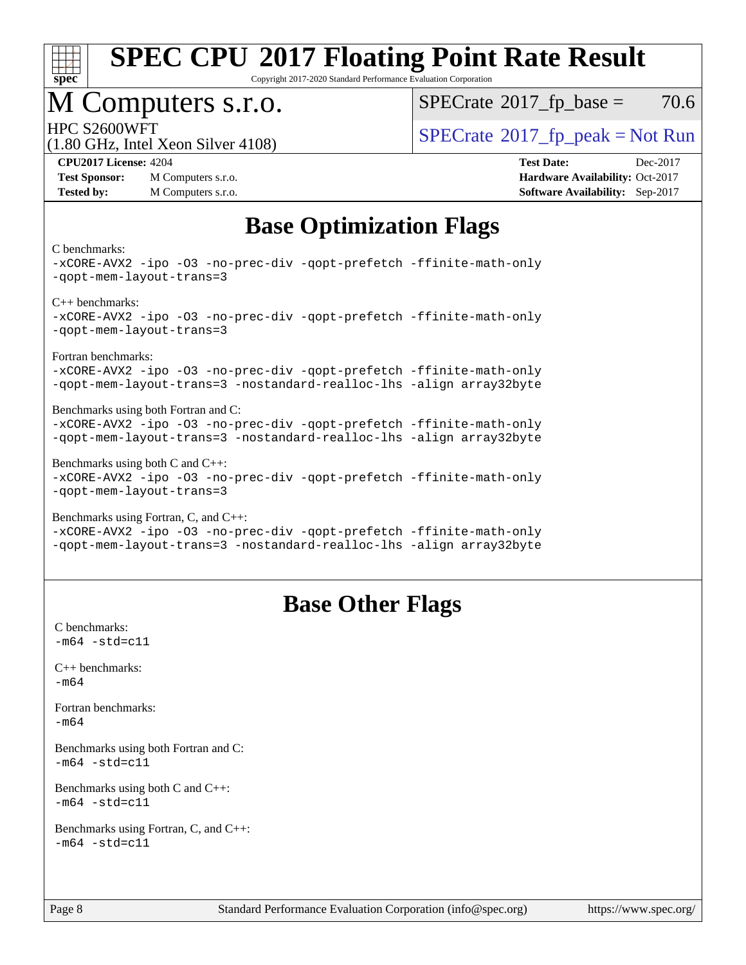

Copyright 2017-2020 Standard Performance Evaluation Corporation

### M Computers s.r.o.

 $SPECTate$ <sup>®</sup>[2017\\_fp\\_base =](http://www.spec.org/auto/cpu2017/Docs/result-fields.html#SPECrate2017fpbase) 70.6

 $HPC S2600WFT$ <br>(1.80 GHz, Intel Year Silver 4108) [SPECrate](http://www.spec.org/auto/cpu2017/Docs/result-fields.html#SPECrate2017fppeak)®[2017\\_fp\\_peak = N](http://www.spec.org/auto/cpu2017/Docs/result-fields.html#SPECrate2017fppeak)ot Run

#### (1.80 GHz, Intel Xeon Silver 4108)

**[Tested by:](http://www.spec.org/auto/cpu2017/Docs/result-fields.html#Testedby)** M Computers s.r.o. **[Software Availability:](http://www.spec.org/auto/cpu2017/Docs/result-fields.html#SoftwareAvailability)** Sep-2017

**[CPU2017 License:](http://www.spec.org/auto/cpu2017/Docs/result-fields.html#CPU2017License)** 4204 **[Test Date:](http://www.spec.org/auto/cpu2017/Docs/result-fields.html#TestDate)** Dec-2017 **[Test Sponsor:](http://www.spec.org/auto/cpu2017/Docs/result-fields.html#TestSponsor)** M Computers s.r.o. **[Hardware Availability:](http://www.spec.org/auto/cpu2017/Docs/result-fields.html#HardwareAvailability)** Oct-2017

# **[Base Optimization Flags](http://www.spec.org/auto/cpu2017/Docs/result-fields.html#BaseOptimizationFlags)**

#### [C benchmarks](http://www.spec.org/auto/cpu2017/Docs/result-fields.html#Cbenchmarks):

[-xCORE-AVX2](http://www.spec.org/cpu2017/results/res2018q1/cpu2017-20171231-02421.flags.html#user_CCbase_f-xCORE-AVX2) [-ipo](http://www.spec.org/cpu2017/results/res2018q1/cpu2017-20171231-02421.flags.html#user_CCbase_f-ipo) [-O3](http://www.spec.org/cpu2017/results/res2018q1/cpu2017-20171231-02421.flags.html#user_CCbase_f-O3) [-no-prec-div](http://www.spec.org/cpu2017/results/res2018q1/cpu2017-20171231-02421.flags.html#user_CCbase_f-no-prec-div) [-qopt-prefetch](http://www.spec.org/cpu2017/results/res2018q1/cpu2017-20171231-02421.flags.html#user_CCbase_f-qopt-prefetch) [-ffinite-math-only](http://www.spec.org/cpu2017/results/res2018q1/cpu2017-20171231-02421.flags.html#user_CCbase_f_finite_math_only_cb91587bd2077682c4b38af759c288ed7c732db004271a9512da14a4f8007909a5f1427ecbf1a0fb78ff2a814402c6114ac565ca162485bbcae155b5e4258871) [-qopt-mem-layout-trans=3](http://www.spec.org/cpu2017/results/res2018q1/cpu2017-20171231-02421.flags.html#user_CCbase_f-qopt-mem-layout-trans_de80db37974c74b1f0e20d883f0b675c88c3b01e9d123adea9b28688d64333345fb62bc4a798493513fdb68f60282f9a726aa07f478b2f7113531aecce732043) [C++ benchmarks](http://www.spec.org/auto/cpu2017/Docs/result-fields.html#CXXbenchmarks): [-xCORE-AVX2](http://www.spec.org/cpu2017/results/res2018q1/cpu2017-20171231-02421.flags.html#user_CXXbase_f-xCORE-AVX2) [-ipo](http://www.spec.org/cpu2017/results/res2018q1/cpu2017-20171231-02421.flags.html#user_CXXbase_f-ipo) [-O3](http://www.spec.org/cpu2017/results/res2018q1/cpu2017-20171231-02421.flags.html#user_CXXbase_f-O3) [-no-prec-div](http://www.spec.org/cpu2017/results/res2018q1/cpu2017-20171231-02421.flags.html#user_CXXbase_f-no-prec-div) [-qopt-prefetch](http://www.spec.org/cpu2017/results/res2018q1/cpu2017-20171231-02421.flags.html#user_CXXbase_f-qopt-prefetch) [-ffinite-math-only](http://www.spec.org/cpu2017/results/res2018q1/cpu2017-20171231-02421.flags.html#user_CXXbase_f_finite_math_only_cb91587bd2077682c4b38af759c288ed7c732db004271a9512da14a4f8007909a5f1427ecbf1a0fb78ff2a814402c6114ac565ca162485bbcae155b5e4258871) [-qopt-mem-layout-trans=3](http://www.spec.org/cpu2017/results/res2018q1/cpu2017-20171231-02421.flags.html#user_CXXbase_f-qopt-mem-layout-trans_de80db37974c74b1f0e20d883f0b675c88c3b01e9d123adea9b28688d64333345fb62bc4a798493513fdb68f60282f9a726aa07f478b2f7113531aecce732043) [Fortran benchmarks:](http://www.spec.org/auto/cpu2017/Docs/result-fields.html#Fortranbenchmarks) [-xCORE-AVX2](http://www.spec.org/cpu2017/results/res2018q1/cpu2017-20171231-02421.flags.html#user_FCbase_f-xCORE-AVX2) [-ipo](http://www.spec.org/cpu2017/results/res2018q1/cpu2017-20171231-02421.flags.html#user_FCbase_f-ipo) [-O3](http://www.spec.org/cpu2017/results/res2018q1/cpu2017-20171231-02421.flags.html#user_FCbase_f-O3) [-no-prec-div](http://www.spec.org/cpu2017/results/res2018q1/cpu2017-20171231-02421.flags.html#user_FCbase_f-no-prec-div) [-qopt-prefetch](http://www.spec.org/cpu2017/results/res2018q1/cpu2017-20171231-02421.flags.html#user_FCbase_f-qopt-prefetch) [-ffinite-math-only](http://www.spec.org/cpu2017/results/res2018q1/cpu2017-20171231-02421.flags.html#user_FCbase_f_finite_math_only_cb91587bd2077682c4b38af759c288ed7c732db004271a9512da14a4f8007909a5f1427ecbf1a0fb78ff2a814402c6114ac565ca162485bbcae155b5e4258871) [-qopt-mem-layout-trans=3](http://www.spec.org/cpu2017/results/res2018q1/cpu2017-20171231-02421.flags.html#user_FCbase_f-qopt-mem-layout-trans_de80db37974c74b1f0e20d883f0b675c88c3b01e9d123adea9b28688d64333345fb62bc4a798493513fdb68f60282f9a726aa07f478b2f7113531aecce732043) [-nostandard-realloc-lhs](http://www.spec.org/cpu2017/results/res2018q1/cpu2017-20171231-02421.flags.html#user_FCbase_f_2003_std_realloc_82b4557e90729c0f113870c07e44d33d6f5a304b4f63d4c15d2d0f1fab99f5daaed73bdb9275d9ae411527f28b936061aa8b9c8f2d63842963b95c9dd6426b8a) [-align array32byte](http://www.spec.org/cpu2017/results/res2018q1/cpu2017-20171231-02421.flags.html#user_FCbase_align_array32byte_b982fe038af199962ba9a80c053b8342c548c85b40b8e86eb3cc33dee0d7986a4af373ac2d51c3f7cf710a18d62fdce2948f201cd044323541f22fc0fffc51b6) [Benchmarks using both Fortran and C](http://www.spec.org/auto/cpu2017/Docs/result-fields.html#BenchmarksusingbothFortranandC): [-xCORE-AVX2](http://www.spec.org/cpu2017/results/res2018q1/cpu2017-20171231-02421.flags.html#user_CC_FCbase_f-xCORE-AVX2) [-ipo](http://www.spec.org/cpu2017/results/res2018q1/cpu2017-20171231-02421.flags.html#user_CC_FCbase_f-ipo) [-O3](http://www.spec.org/cpu2017/results/res2018q1/cpu2017-20171231-02421.flags.html#user_CC_FCbase_f-O3) [-no-prec-div](http://www.spec.org/cpu2017/results/res2018q1/cpu2017-20171231-02421.flags.html#user_CC_FCbase_f-no-prec-div) [-qopt-prefetch](http://www.spec.org/cpu2017/results/res2018q1/cpu2017-20171231-02421.flags.html#user_CC_FCbase_f-qopt-prefetch) [-ffinite-math-only](http://www.spec.org/cpu2017/results/res2018q1/cpu2017-20171231-02421.flags.html#user_CC_FCbase_f_finite_math_only_cb91587bd2077682c4b38af759c288ed7c732db004271a9512da14a4f8007909a5f1427ecbf1a0fb78ff2a814402c6114ac565ca162485bbcae155b5e4258871) [-qopt-mem-layout-trans=3](http://www.spec.org/cpu2017/results/res2018q1/cpu2017-20171231-02421.flags.html#user_CC_FCbase_f-qopt-mem-layout-trans_de80db37974c74b1f0e20d883f0b675c88c3b01e9d123adea9b28688d64333345fb62bc4a798493513fdb68f60282f9a726aa07f478b2f7113531aecce732043) [-nostandard-realloc-lhs](http://www.spec.org/cpu2017/results/res2018q1/cpu2017-20171231-02421.flags.html#user_CC_FCbase_f_2003_std_realloc_82b4557e90729c0f113870c07e44d33d6f5a304b4f63d4c15d2d0f1fab99f5daaed73bdb9275d9ae411527f28b936061aa8b9c8f2d63842963b95c9dd6426b8a) [-align array32byte](http://www.spec.org/cpu2017/results/res2018q1/cpu2017-20171231-02421.flags.html#user_CC_FCbase_align_array32byte_b982fe038af199962ba9a80c053b8342c548c85b40b8e86eb3cc33dee0d7986a4af373ac2d51c3f7cf710a18d62fdce2948f201cd044323541f22fc0fffc51b6) [Benchmarks using both C and C++:](http://www.spec.org/auto/cpu2017/Docs/result-fields.html#BenchmarksusingbothCandCXX) [-xCORE-AVX2](http://www.spec.org/cpu2017/results/res2018q1/cpu2017-20171231-02421.flags.html#user_CC_CXXbase_f-xCORE-AVX2) [-ipo](http://www.spec.org/cpu2017/results/res2018q1/cpu2017-20171231-02421.flags.html#user_CC_CXXbase_f-ipo) [-O3](http://www.spec.org/cpu2017/results/res2018q1/cpu2017-20171231-02421.flags.html#user_CC_CXXbase_f-O3) [-no-prec-div](http://www.spec.org/cpu2017/results/res2018q1/cpu2017-20171231-02421.flags.html#user_CC_CXXbase_f-no-prec-div) [-qopt-prefetch](http://www.spec.org/cpu2017/results/res2018q1/cpu2017-20171231-02421.flags.html#user_CC_CXXbase_f-qopt-prefetch) [-ffinite-math-only](http://www.spec.org/cpu2017/results/res2018q1/cpu2017-20171231-02421.flags.html#user_CC_CXXbase_f_finite_math_only_cb91587bd2077682c4b38af759c288ed7c732db004271a9512da14a4f8007909a5f1427ecbf1a0fb78ff2a814402c6114ac565ca162485bbcae155b5e4258871) [-qopt-mem-layout-trans=3](http://www.spec.org/cpu2017/results/res2018q1/cpu2017-20171231-02421.flags.html#user_CC_CXXbase_f-qopt-mem-layout-trans_de80db37974c74b1f0e20d883f0b675c88c3b01e9d123adea9b28688d64333345fb62bc4a798493513fdb68f60282f9a726aa07f478b2f7113531aecce732043) [Benchmarks using Fortran, C, and C++](http://www.spec.org/auto/cpu2017/Docs/result-fields.html#BenchmarksusingFortranCandCXX): [-xCORE-AVX2](http://www.spec.org/cpu2017/results/res2018q1/cpu2017-20171231-02421.flags.html#user_CC_CXX_FCbase_f-xCORE-AVX2) [-ipo](http://www.spec.org/cpu2017/results/res2018q1/cpu2017-20171231-02421.flags.html#user_CC_CXX_FCbase_f-ipo) [-O3](http://www.spec.org/cpu2017/results/res2018q1/cpu2017-20171231-02421.flags.html#user_CC_CXX_FCbase_f-O3) [-no-prec-div](http://www.spec.org/cpu2017/results/res2018q1/cpu2017-20171231-02421.flags.html#user_CC_CXX_FCbase_f-no-prec-div) [-qopt-prefetch](http://www.spec.org/cpu2017/results/res2018q1/cpu2017-20171231-02421.flags.html#user_CC_CXX_FCbase_f-qopt-prefetch) [-ffinite-math-only](http://www.spec.org/cpu2017/results/res2018q1/cpu2017-20171231-02421.flags.html#user_CC_CXX_FCbase_f_finite_math_only_cb91587bd2077682c4b38af759c288ed7c732db004271a9512da14a4f8007909a5f1427ecbf1a0fb78ff2a814402c6114ac565ca162485bbcae155b5e4258871)

[-qopt-mem-layout-trans=3](http://www.spec.org/cpu2017/results/res2018q1/cpu2017-20171231-02421.flags.html#user_CC_CXX_FCbase_f-qopt-mem-layout-trans_de80db37974c74b1f0e20d883f0b675c88c3b01e9d123adea9b28688d64333345fb62bc4a798493513fdb68f60282f9a726aa07f478b2f7113531aecce732043) [-nostandard-realloc-lhs](http://www.spec.org/cpu2017/results/res2018q1/cpu2017-20171231-02421.flags.html#user_CC_CXX_FCbase_f_2003_std_realloc_82b4557e90729c0f113870c07e44d33d6f5a304b4f63d4c15d2d0f1fab99f5daaed73bdb9275d9ae411527f28b936061aa8b9c8f2d63842963b95c9dd6426b8a) [-align array32byte](http://www.spec.org/cpu2017/results/res2018q1/cpu2017-20171231-02421.flags.html#user_CC_CXX_FCbase_align_array32byte_b982fe038af199962ba9a80c053b8342c548c85b40b8e86eb3cc33dee0d7986a4af373ac2d51c3f7cf710a18d62fdce2948f201cd044323541f22fc0fffc51b6)

### **[Base Other Flags](http://www.spec.org/auto/cpu2017/Docs/result-fields.html#BaseOtherFlags)**

[C benchmarks](http://www.spec.org/auto/cpu2017/Docs/result-fields.html#Cbenchmarks):  $-m64 - std = c11$  $-m64 - std = c11$ [C++ benchmarks:](http://www.spec.org/auto/cpu2017/Docs/result-fields.html#CXXbenchmarks) [-m64](http://www.spec.org/cpu2017/results/res2018q1/cpu2017-20171231-02421.flags.html#user_CXXbase_intel_intel64_18.0_af43caccfc8ded86e7699f2159af6efc7655f51387b94da716254467f3c01020a5059329e2569e4053f409e7c9202a7efc638f7a6d1ffb3f52dea4a3e31d82ab) [Fortran benchmarks](http://www.spec.org/auto/cpu2017/Docs/result-fields.html#Fortranbenchmarks): [-m64](http://www.spec.org/cpu2017/results/res2018q1/cpu2017-20171231-02421.flags.html#user_FCbase_intel_intel64_18.0_af43caccfc8ded86e7699f2159af6efc7655f51387b94da716254467f3c01020a5059329e2569e4053f409e7c9202a7efc638f7a6d1ffb3f52dea4a3e31d82ab) [Benchmarks using both Fortran and C](http://www.spec.org/auto/cpu2017/Docs/result-fields.html#BenchmarksusingbothFortranandC):  $-m64$   $-std=cl1$ [Benchmarks using both C and C++](http://www.spec.org/auto/cpu2017/Docs/result-fields.html#BenchmarksusingbothCandCXX):  $-m64 - std= c11$  $-m64 - std= c11$ [Benchmarks using Fortran, C, and C++:](http://www.spec.org/auto/cpu2017/Docs/result-fields.html#BenchmarksusingFortranCandCXX)  $-m64 - std = c11$  $-m64 - std = c11$